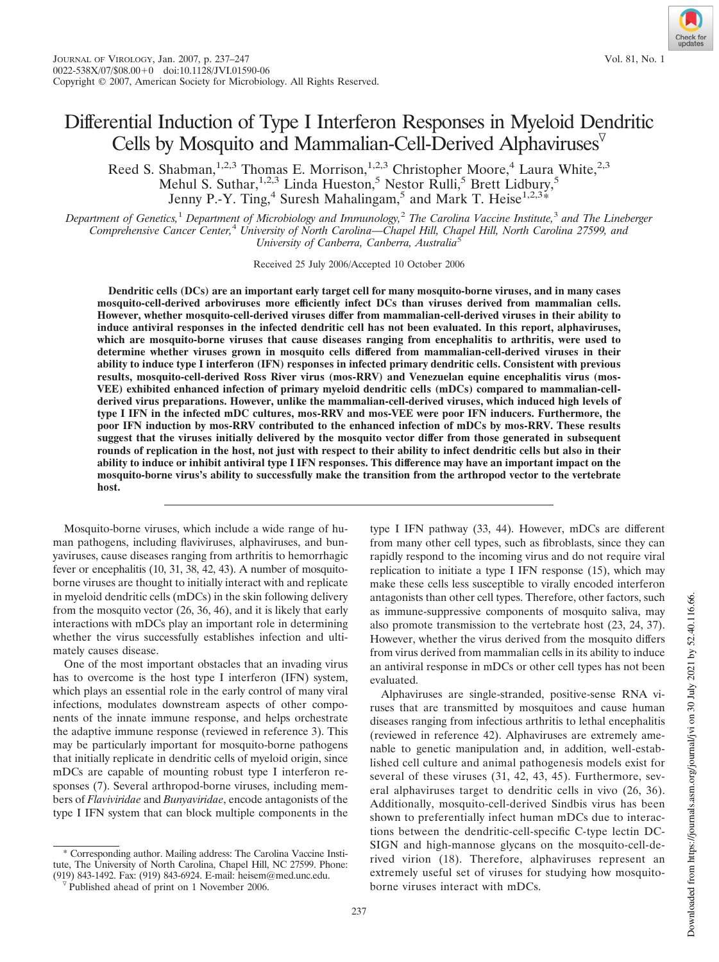# Differential Induction of Type I Interferon Responses in Myeloid Dendritic Cells by Mosquito and Mammalian-Cell-Derived Alphaviruses $\nabla$

Reed S. Shabman,<sup>1,2,3</sup> Thomas E. Morrison,<sup>1,2,3</sup> Christopher Moore,<sup>4</sup> Laura White,<sup>2,3</sup> Mehul S. Suthar,<sup>1,2,3</sup> Linda Hueston,<sup>5</sup> Nestor Rulli,<sup>5</sup> Brett Lidbury,<sup>5</sup> Jenny P.-Y. Ting,<sup>4</sup> Suresh Mahalingam,<sup>5</sup> and Mark T. Heise<sup>1,2,3</sup>\*

*Department of Genetics,*<sup>1</sup> *Department of Microbiology and Immunology,*<sup>2</sup> *The Carolina Vaccine Institute,*<sup>3</sup> *and The Lineberger Comprehensive Cancer Center,*<sup>4</sup> *University of North Carolina—Chapel Hill, Chapel Hill, North Carolina 27599, and University of Canberra, Canberra, Australia*<sup>5</sup>

Received 25 July 2006/Accepted 10 October 2006

**Dendritic cells (DCs) are an important early target cell for many mosquito-borne viruses, and in many cases mosquito-cell-derived arboviruses more efficiently infect DCs than viruses derived from mammalian cells. However, whether mosquito-cell-derived viruses differ from mammalian-cell-derived viruses in their ability to induce antiviral responses in the infected dendritic cell has not been evaluated. In this report, alphaviruses, which are mosquito-borne viruses that cause diseases ranging from encephalitis to arthritis, were used to determine whether viruses grown in mosquito cells differed from mammalian-cell-derived viruses in their ability to induce type I interferon (IFN) responses in infected primary dendritic cells. Consistent with previous results, mosquito-cell-derived Ross River virus (mos-RRV) and Venezuelan equine encephalitis virus (mos-VEE) exhibited enhanced infection of primary myeloid dendritic cells (mDCs) compared to mammalian-cellderived virus preparations. However, unlike the mammalian-cell-derived viruses, which induced high levels of type I IFN in the infected mDC cultures, mos-RRV and mos-VEE were poor IFN inducers. Furthermore, the poor IFN induction by mos-RRV contributed to the enhanced infection of mDCs by mos-RRV. These results suggest that the viruses initially delivered by the mosquito vector differ from those generated in subsequent rounds of replication in the host, not just with respect to their ability to infect dendritic cells but also in their ability to induce or inhibit antiviral type I IFN responses. This difference may have an important impact on the mosquito-borne virus's ability to successfully make the transition from the arthropod vector to the vertebrate host.**

Mosquito-borne viruses, which include a wide range of human pathogens, including flaviviruses, alphaviruses, and bunyaviruses, cause diseases ranging from arthritis to hemorrhagic fever or encephalitis (10, 31, 38, 42, 43). A number of mosquitoborne viruses are thought to initially interact with and replicate in myeloid dendritic cells (mDCs) in the skin following delivery from the mosquito vector (26, 36, 46), and it is likely that early interactions with mDCs play an important role in determining whether the virus successfully establishes infection and ultimately causes disease.

One of the most important obstacles that an invading virus has to overcome is the host type I interferon (IFN) system, which plays an essential role in the early control of many viral infections, modulates downstream aspects of other components of the innate immune response, and helps orchestrate the adaptive immune response (reviewed in reference 3). This may be particularly important for mosquito-borne pathogens that initially replicate in dendritic cells of myeloid origin, since mDCs are capable of mounting robust type I interferon responses (7). Several arthropod-borne viruses, including members of *Flaviviridae* and *Bunyaviridae*, encode antagonists of the type I IFN system that can block multiple components in the

\* Corresponding author. Mailing address: The Carolina Vaccine Institute, The University of North Carolina, Chapel Hill, NC 27599. Phone: (919) 843-1492. Fax: (919) 843-6924. E-mail: heisem@med.unc.edu.

type I IFN pathway (33, 44). However, mDCs are different from many other cell types, such as fibroblasts, since they can rapidly respond to the incoming virus and do not require viral replication to initiate a type I IFN response (15), which may make these cells less susceptible to virally encoded interferon antagonists than other cell types. Therefore, other factors, such as immune-suppressive components of mosquito saliva, may also promote transmission to the vertebrate host (23, 24, 37). However, whether the virus derived from the mosquito differs from virus derived from mammalian cells in its ability to induce an antiviral response in mDCs or other cell types has not been evaluated.

Alphaviruses are single-stranded, positive-sense RNA viruses that are transmitted by mosquitoes and cause human diseases ranging from infectious arthritis to lethal encephalitis (reviewed in reference 42). Alphaviruses are extremely amenable to genetic manipulation and, in addition, well-established cell culture and animal pathogenesis models exist for several of these viruses (31, 42, 43, 45). Furthermore, several alphaviruses target to dendritic cells in vivo (26, 36). Additionally, mosquito-cell-derived Sindbis virus has been shown to preferentially infect human mDCs due to interactions between the dendritic-cell-specific C-type lectin DC-SIGN and high-mannose glycans on the mosquito-cell-derived virion (18). Therefore, alphaviruses represent an extremely useful set of viruses for studying how mosquitoborne viruses interact with mDCs.

237



 $\sqrt[p]{}$  Published ahead of print on 1 November 2006.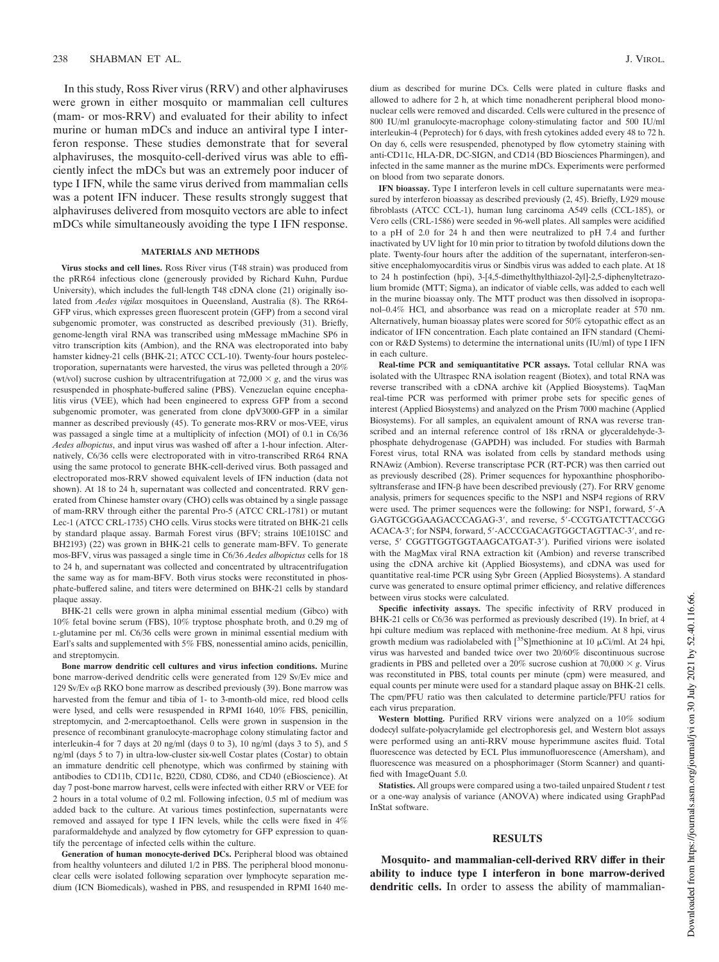In this study, Ross River virus (RRV) and other alphaviruses were grown in either mosquito or mammalian cell cultures (mam- or mos-RRV) and evaluated for their ability to infect murine or human mDCs and induce an antiviral type I interferon response. These studies demonstrate that for several alphaviruses, the mosquito-cell-derived virus was able to efficiently infect the mDCs but was an extremely poor inducer of type I IFN, while the same virus derived from mammalian cells was a potent IFN inducer. These results strongly suggest that alphaviruses delivered from mosquito vectors are able to infect mDCs while simultaneously avoiding the type I IFN response.

### **MATERIALS AND METHODS**

**Virus stocks and cell lines.** Ross River virus (T48 strain) was produced from the pRR64 infectious clone (generously provided by Richard Kuhn, Purdue University), which includes the full-length T48 cDNA clone (21) originally isolated from *Aedes vigilax* mosquitoes in Queensland, Australia (8). The RR64- GFP virus, which expresses green fluorescent protein (GFP) from a second viral subgenomic promoter, was constructed as described previously (31). Briefly, genome-length viral RNA was transcribed using mMessage mMachine SP6 in vitro transcription kits (Ambion), and the RNA was electroporated into baby hamster kidney-21 cells (BHK-21; ATCC CCL-10). Twenty-four hours postelectroporation, supernatants were harvested, the virus was pelleted through a 20% (wt/vol) sucrose cushion by ultracentrifugation at  $72,000 \times g$ , and the virus was resuspended in phosphate-buffered saline (PBS). Venezuelan equine encephalitis virus (VEE), which had been engineered to express GFP from a second subgenomic promoter, was generated from clone dpV3000-GFP in a similar manner as described previously (45). To generate mos-RRV or mos-VEE, virus was passaged a single time at a multiplicity of infection (MOI) of 0.1 in C6/36 *Aedes albopictus*, and input virus was washed off after a 1-hour infection. Alternatively, C6/36 cells were electroporated with in vitro-transcribed RR64 RNA using the same protocol to generate BHK-cell-derived virus. Both passaged and electroporated mos-RRV showed equivalent levels of IFN induction (data not shown). At 18 to 24 h, supernatant was collected and concentrated. RRV generated from Chinese hamster ovary (CHO) cells was obtained by a single passage of mam-RRV through either the parental Pro-5 (ATCC CRL-1781) or mutant Lec-1 (ATCC CRL-1735) CHO cells. Virus stocks were titrated on BHK-21 cells by standard plaque assay. Barmah Forest virus (BFV; strains 10E101SC and BH2193) (22) was grown in BHK-21 cells to generate mam-BFV. To generate mos-BFV, virus was passaged a single time in C6/36 *Aedes albopictus* cells for 18 to 24 h, and supernatant was collected and concentrated by ultracentrifugation the same way as for mam-BFV. Both virus stocks were reconstituted in phosphate-buffered saline, and titers were determined on BHK-21 cells by standard plaque assay.

BHK-21 cells were grown in alpha minimal essential medium (Gibco) with 10% fetal bovine serum (FBS), 10% tryptose phosphate broth, and 0.29 mg of L-glutamine per ml. C6/36 cells were grown in minimal essential medium with Earl's salts and supplemented with 5% FBS, nonessential amino acids, penicillin, and streptomycin.

**Bone marrow dendritic cell cultures and virus infection conditions.** Murine bone marrow-derived dendritic cells were generated from 129 Sv/Ev mice and 129 Sv/Ev  $\alpha\beta$  RKO bone marrow as described previously (39). Bone marrow was harvested from the femur and tibia of 1- to 3-month-old mice, red blood cells were lysed, and cells were resuspended in RPMI 1640, 10% FBS, penicillin, streptomycin, and 2-mercaptoethanol. Cells were grown in suspension in the presence of recombinant granulocyte-macrophage colony stimulating factor and interleukin-4 for 7 days at 20 ng/ml (days 0 to 3), 10 ng/ml (days 3 to 5), and 5 ng/ml (days 5 to 7) in ultra-low-cluster six-well Costar plates (Costar) to obtain an immature dendritic cell phenotype, which was confirmed by staining with antibodies to CD11b, CD11c, B220, CD80, CD86, and CD40 (eBioscience). At day 7 post-bone marrow harvest, cells were infected with either RRV or VEE for 2 hours in a total volume of 0.2 ml. Following infection, 0.5 ml of medium was added back to the culture. At various times postinfection, supernatants were removed and assayed for type I IFN levels, while the cells were fixed in 4% paraformaldehyde and analyzed by flow cytometry for GFP expression to quantify the percentage of infected cells within the culture.

**Generation of human monocyte-derived DCs.** Peripheral blood was obtained from healthy volunteers and diluted 1/2 in PBS. The peripheral blood mononuclear cells were isolated following separation over lymphocyte separation medium (ICN Biomedicals), washed in PBS, and resuspended in RPMI 1640 medium as described for murine DCs. Cells were plated in culture flasks and allowed to adhere for 2 h, at which time nonadherent peripheral blood mononuclear cells were removed and discarded. Cells were cultured in the presence of 800 IU/ml granulocyte-macrophage colony-stimulating factor and 500 IU/ml interleukin-4 (Peprotech) for 6 days, with fresh cytokines added every 48 to 72 h. On day 6, cells were resuspended, phenotyped by flow cytometry staining with anti-CD11c, HLA-DR, DC-SIGN, and CD14 (BD Biosciences Pharmingen), and infected in the same manner as the murine mDCs. Experiments were performed on blood from two separate donors.

**IFN bioassay.** Type I interferon levels in cell culture supernatants were measured by interferon bioassay as described previously (2, 45). Briefly, L929 mouse fibroblasts (ATCC CCL-1), human lung carcinoma A549 cells (CCL-185), or Vero cells (CRL-1586) were seeded in 96-well plates. All samples were acidified to a pH of 2.0 for 24 h and then were neutralized to pH 7.4 and further inactivated by UV light for 10 min prior to titration by twofold dilutions down the plate. Twenty-four hours after the addition of the supernatant, interferon-sensitive encephalomyocarditis virus or Sindbis virus was added to each plate. At 18 to 24 h postinfection (hpi), 3-[4,5-dimethylthylthiazol-2yl]-2,5-diphenyltetrazolium bromide (MTT; Sigma), an indicator of viable cells, was added to each well in the murine bioassay only. The MTT product was then dissolved in isopropanol–0.4% HCl, and absorbance was read on a microplate reader at 570 nm. Alternatively, human bioassay plates were scored for 50% cytopathic effect as an indicator of IFN concentration. Each plate contained an IFN standard (Chemicon or R&D Systems) to determine the international units (IU/ml) of type I IFN in each culture.

**Real-time PCR and semiquantitative PCR assays.** Total cellular RNA was isolated with the Ultraspec RNA isolation reagent (Biotex), and total RNA was reverse transcribed with a cDNA archive kit (Applied Biosystems). TaqMan real-time PCR was performed with primer probe sets for specific genes of interest (Applied Biosystems) and analyzed on the Prism 7000 machine (Applied Biosystems). For all samples, an equivalent amount of RNA was reverse transcribed and an internal reference control of 18s rRNA or glyceraldehyde-3 phosphate dehydrogenase (GAPDH) was included. For studies with Barmah Forest virus, total RNA was isolated from cells by standard methods using RNAwiz (Ambion). Reverse transcriptase PCR (RT-PCR) was then carried out as previously described (28). Primer sequences for hypoxanthine phosphoribosyltransferase and IFN- $\beta$  have been described previously (27). For RRV genome analysis, primers for sequences specific to the NSP1 and NSP4 regions of RRV were used. The primer sequences were the following: for NSP1, forward, 5-A GAGTGCGGAAGACCCAGAG-3, and reverse, 5-CCGTGATCTTACCGG ACACA-3'; for NSP4, forward, 5'-ACCCGACAGTGGCTAGTTAC-3', and reverse, 5' CGGTTGGTGGTAAGCATGAT-3'). Purified virions were isolated with the MagMax viral RNA extraction kit (Ambion) and reverse transcribed using the cDNA archive kit (Applied Biosystems), and cDNA was used for quantitative real-time PCR using Sybr Green (Applied Biosystems). A standard curve was generated to ensure optimal primer efficiency, and relative differences between virus stocks were calculated.

**Specific infectivity assays.** The specific infectivity of RRV produced in BHK-21 cells or C6/36 was performed as previously described (19). In brief, at 4 hpi culture medium was replaced with methonine-free medium. At 8 hpi, virus growth medium was radiolabeled with  $[35S]$ methionine at 10 µCi/ml. At 24 hpi, virus was harvested and banded twice over two 20/60% discontinuous sucrose gradients in PBS and pelleted over a 20% sucrose cushion at  $70,000 \times g$ . Virus was reconstituted in PBS, total counts per minute (cpm) were measured, and equal counts per minute were used for a standard plaque assay on BHK-21 cells. The cpm/PFU ratio was then calculated to determine particle/PFU ratios for each virus preparation.

**Western blotting.** Purified RRV virions were analyzed on a 10% sodium dodecyl sulfate-polyacrylamide gel electrophoresis gel, and Western blot assays were performed using an anti-RRV mouse hyperimmune ascites fluid. Total fluorescence was detected by ECL Plus immunofluorescence (Amersham), and fluorescence was measured on a phosphorimager (Storm Scanner) and quantified with ImageQuant 5.0.

**Statistics.** All groups were compared using a two-tailed unpaired Student *t* test or a one-way analysis of variance (ANOVA) where indicated using GraphPad InStat software.

# **RESULTS**

**Mosquito- and mammalian-cell-derived RRV differ in their ability to induce type I interferon in bone marrow-derived dendritic cells.** In order to assess the ability of mammalian-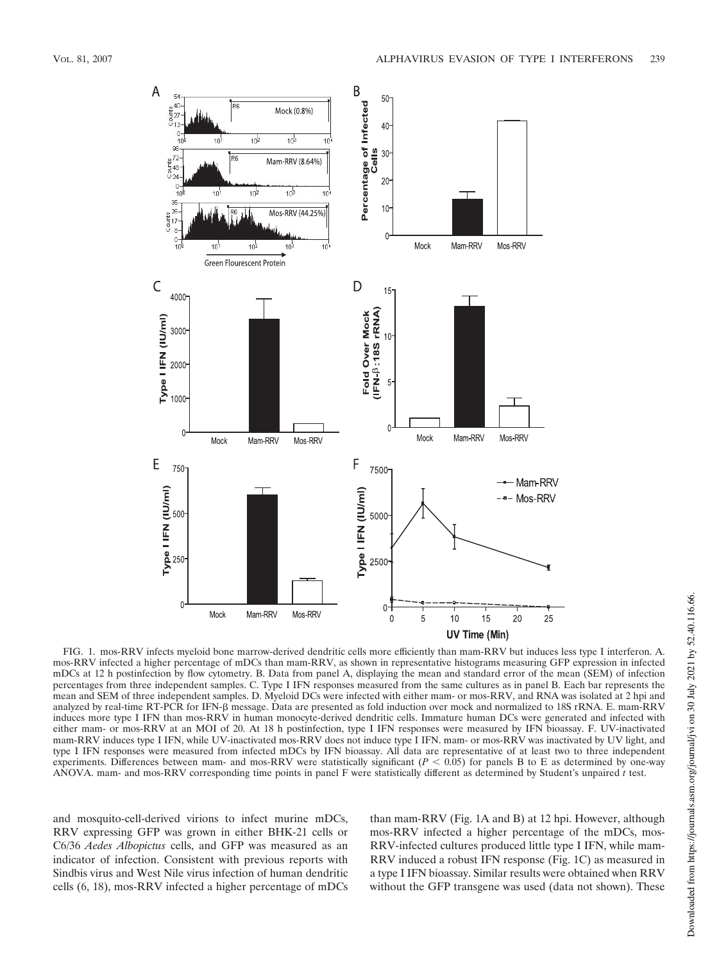

FIG. 1. mos-RRV infects myeloid bone marrow-derived dendritic cells more efficiently than mam-RRV but induces less type I interferon. A. mos-RRV infected a higher percentage of mDCs than mam-RRV, as shown in representative histograms measuring GFP expression in infected mDCs at 12 h postinfection by flow cytometry. B. Data from panel A, displaying the mean and standard error of the mean (SEM) of infection percentages from three independent samples. C. Type I IFN responses measured from the same cultures as in panel B. Each bar represents the mean and SEM of three independent samples. D. Myeloid DCs were infected with either mam- or mos-RRV, and RNA was isolated at 2 hpi and analyzed by real-time RT-PCR for IFN- $\beta$  message. Data are presented as fold induction over mock and normalized to 18S rRNA. E. mam-RRV induces more type I IFN than mos-RRV in human monocyte-derived dendritic cells. Immature human DCs were generated and infected with either mam- or mos-RRV at an MOI of 20. At 18 h postinfection, type I IFN responses were measured by IFN bioassay. F. UV-inactivated mam-RRV induces type I IFN, while UV-inactivated mos-RRV does not induce type I IFN. mam- or mos-RRV was inactivated by UV light, and type I IFN responses were measured from infected mDCs by IFN bioassay. All data are representative of at least two to three independent experiments. Differences between mam- and mos-RRV were statistically significant  $(P < 0.05)$  for panels B to E as determined by one-way ANOVA. mam- and mos-RRV corresponding time points in panel F were statistically different as determined by Student's unpaired *t* test.

and mosquito-cell-derived virions to infect murine mDCs, RRV expressing GFP was grown in either BHK-21 cells or C6/36 *Aedes Albopictus* cells, and GFP was measured as an indicator of infection. Consistent with previous reports with Sindbis virus and West Nile virus infection of human dendritic cells (6, 18), mos-RRV infected a higher percentage of mDCs than mam-RRV (Fig. 1A and B) at 12 hpi. However, although mos-RRV infected a higher percentage of the mDCs, mos-RRV-infected cultures produced little type I IFN, while mam-RRV induced a robust IFN response (Fig. 1C) as measured in a type I IFN bioassay. Similar results were obtained when RRV without the GFP transgene was used (data not shown). These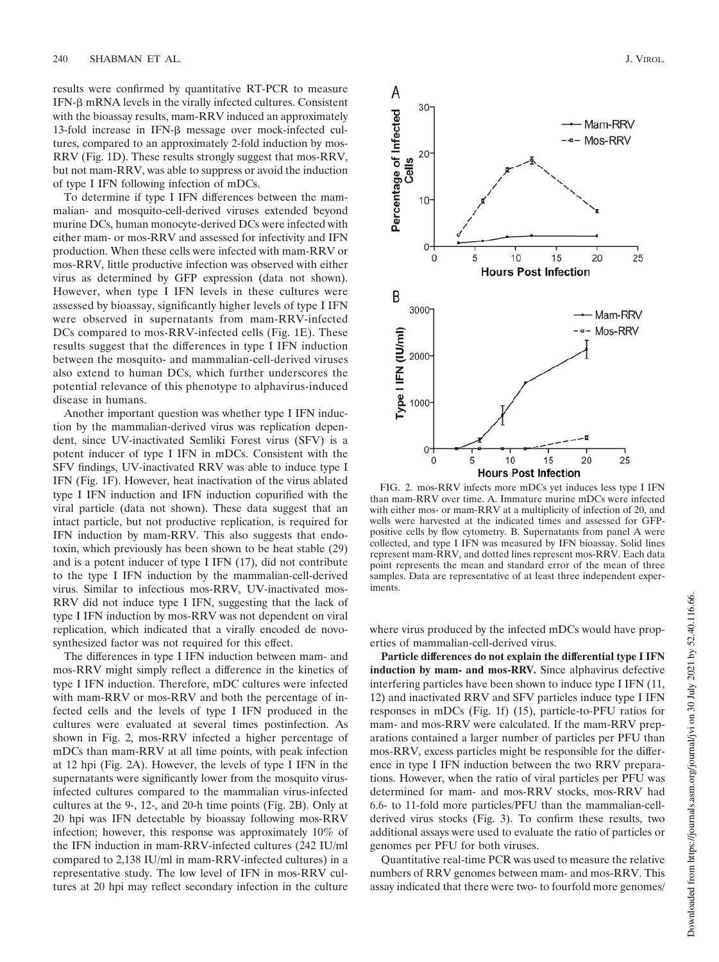results were confirmed by quantitative RT-PCR to measure  $IFN-\beta$  mRNA levels in the virally infected cultures. Consistent with the bioassay results, mam-RRV induced an approximately 13-fold increase in IFN- $\beta$  message over mock-infected cultures, compared to an approximately 2-fold induction by mos-RRV (Fig. 1D). These results strongly suggest that mos-RRV, but not mam-RRV, was able to suppress or avoid the induction of type I IFN following infection of mDCs.

To determine if type I IFN differences between the mammalian- and mosquito-cell-derived viruses extended beyond murine DCs, human monocyte-derived DCs were infected with either mam- or mos-RRV and assessed for infectivity and IFN production. When these cells were infected with mam-RRV or mos-RRV, little productive infection was observed with either virus as determined by GFP expression (data not shown). However, when type I IFN levels in these cultures were assessed by bioassay, significantly higher levels of type I IFN were observed in supernatants from mam-RRV-infected DCs compared to mos-RRV-infected cells (Fig. 1E). These results suggest that the differences in type I IFN induction between the mosquito- and mammalian-cell-derived viruses also extend to human DCs, which further underscores the potential relevance of this phenotype to alphavirus-induced disease in humans.

Another important question was whether type I IFN induction by the mammalian-derived virus was replication dependent, since UV-inactivated Semliki Forest virus (SFV) is a potent inducer of type I IFN in mDCs. Consistent with the SFV findings, UV-inactivated RRV was able to induce type I IFN (Fig. 1F). However, heat inactivation of the virus ablated type I IFN induction and IFN induction copurified with the viral particle (data not shown). These data suggest that an intact particle, but not productive replication, is required for IFN induction by mam-RRV. This also suggests that endotoxin, which previously has been shown to be heat stable (29) and is a potent inducer of type I IFN (17), did not contribute to the type I IFN induction by the mammalian-cell-derived virus. Similar to infectious mos-RRV, UV-inactivated mos-RRV did not induce type I IFN, suggesting that the lack of type I IFN induction by mos-RRV was not dependent on viral replication, which indicated that a virally encoded de novosynthesized factor was not required for this effect.

The differences in type I IFN induction between mam- and mos-RRV might simply reflect a difference in the kinetics of type I IFN induction. Therefore, mDC cultures were infected with mam-RRV or mos-RRV and both the percentage of infected cells and the levels of type I IFN produced in the cultures were evaluated at several times postinfection. As shown in Fig. 2, mos-RRV infected a higher percentage of mDCs than mam-RRV at all time points, with peak infection at 12 hpi (Fig. 2A). However, the levels of type I IFN in the supernatants were significantly lower from the mosquito virusinfected cultures compared to the mammalian virus-infected cultures at the 9-, 12-, and 20-h time points (Fig. 2B). Only at 20 hpi was IFN detectable by bioassay following mos-RRV infection; however, this response was approximately 10% of the IFN induction in mam-RRV-infected cultures (242 IU/ml compared to 2,138 IU/ml in mam-RRV-infected cultures) in a representative study. The low level of IFN in mos-RRV cultures at 20 hpi may reflect secondary infection in the culture



FIG. 2. mos-RRV infects more mDCs yet induces less type I IFN than mam-RRV over time. A. Immature murine mDCs were infected with either mos- or mam-RRV at a multiplicity of infection of 20, and wells were harvested at the indicated times and assessed for GFPpositive cells by flow cytometry. B. Supernatants from panel A were collected, and type I IFN was measured by IFN bioassay. Solid lines represent mam-RRV, and dotted lines represent mos-RRV. Each data point represents the mean and standard error of the mean of three samples. Data are representative of at least three independent experiments.

where virus produced by the infected mDCs would have properties of mammalian-cell-derived virus.

**Particle differences do not explain the differential type I IFN induction by mam- and mos-RRV.** Since alphavirus defective interfering particles have been shown to induce type I IFN (11, 12) and inactivated RRV and SFV particles induce type I IFN responses in mDCs (Fig. 1f) (15), particle-to-PFU ratios for mam- and mos-RRV were calculated. If the mam-RRV preparations contained a larger number of particles per PFU than mos-RRV, excess particles might be responsible for the difference in type I IFN induction between the two RRV preparations. However, when the ratio of viral particles per PFU was determined for mam- and mos-RRV stocks, mos-RRV had 6.6- to 11-fold more particles/PFU than the mammalian-cellderived virus stocks (Fig. 3). To confirm these results, two additional assays were used to evaluate the ratio of particles or genomes per PFU for both viruses.

Quantitative real-time PCR was used to measure the relative numbers of RRV genomes between mam- and mos-RRV. This assay indicated that there were two- to fourfold more genomes/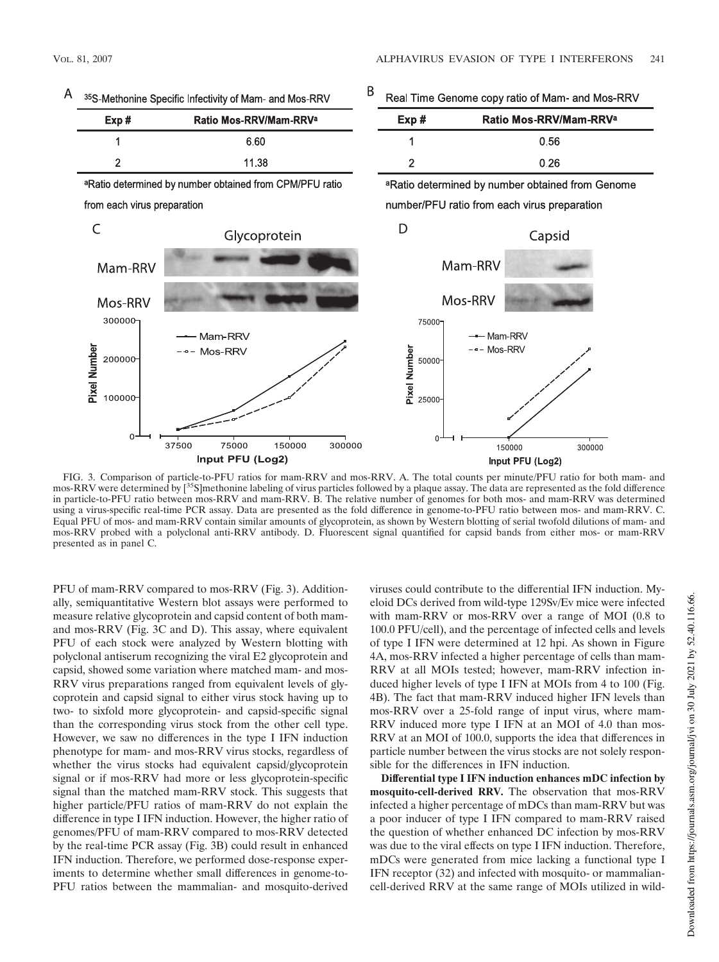|  | 35S-Methonine Specific Infectivity of Mam- and Mos-RRV |  |  |  |  |  |
|--|--------------------------------------------------------|--|--|--|--|--|
|--|--------------------------------------------------------|--|--|--|--|--|

| Exp# | Ratio Mos-RRV/Mam-RRV <sup>a</sup> |  |  |
|------|------------------------------------|--|--|
|      | 6.60                               |  |  |
|      | 11.38                              |  |  |

aRatio determined by number obtained from CPM/PFU ratio from each virus preparation

B Real Time Genome copy ratio of Mam- and Mos-RRV

| 0.56 |  |
|------|--|
| 0.26 |  |

aRatio determined by number obtained from Genome number/PFU ratio from each virus preparation



FIG. 3. Comparison of particle-to-PFU ratios for mam-RRV and mos-RRV. A. The total counts per minute/PFU ratio for both mam- and mos-RRV were determined by [<sup>35</sup>S]methonine labeling of virus particles followed by a plaque assay. The data are represented as the fold difference in particle-to-PFU ratio between mos-RRV and mam-RRV. B. The relative number of genomes for both mos- and mam-RRV was determined using a virus-specific real-time PCR assay. Data are presented as the fold difference in genome-to-PFU ratio between mos- and mam-RRV. C. Equal PFU of mos- and mam-RRV contain similar amounts of glycoprotein, as shown by Western blotting of serial twofold dilutions of mam- and mos-RRV probed with a polyclonal anti-RRV antibody. D. Fluorescent signal quantified for capsid bands from either mos- or mam-RRV presented as in panel C.

PFU of mam-RRV compared to mos-RRV (Fig. 3). Additionally, semiquantitative Western blot assays were performed to measure relative glycoprotein and capsid content of both mamand mos-RRV (Fig. 3C and D). This assay, where equivalent PFU of each stock were analyzed by Western blotting with polyclonal antiserum recognizing the viral E2 glycoprotein and capsid, showed some variation where matched mam- and mos-RRV virus preparations ranged from equivalent levels of glycoprotein and capsid signal to either virus stock having up to two- to sixfold more glycoprotein- and capsid-specific signal than the corresponding virus stock from the other cell type. However, we saw no differences in the type I IFN induction phenotype for mam- and mos-RRV virus stocks, regardless of whether the virus stocks had equivalent capsid/glycoprotein signal or if mos-RRV had more or less glycoprotein-specific signal than the matched mam-RRV stock. This suggests that higher particle/PFU ratios of mam-RRV do not explain the difference in type I IFN induction. However, the higher ratio of genomes/PFU of mam-RRV compared to mos-RRV detected by the real-time PCR assay (Fig. 3B) could result in enhanced IFN induction. Therefore, we performed dose-response experiments to determine whether small differences in genome-to-PFU ratios between the mammalian- and mosquito-derived

viruses could contribute to the differential IFN induction. Myeloid DCs derived from wild-type 129Sv/Ev mice were infected with mam-RRV or mos-RRV over a range of MOI (0.8 to 100.0 PFU/cell), and the percentage of infected cells and levels of type I IFN were determined at 12 hpi. As shown in Figure 4A, mos-RRV infected a higher percentage of cells than mam-RRV at all MOIs tested; however, mam-RRV infection induced higher levels of type I IFN at MOIs from 4 to 100 (Fig. 4B). The fact that mam-RRV induced higher IFN levels than mos-RRV over a 25-fold range of input virus, where mam-RRV induced more type I IFN at an MOI of 4.0 than mos-RRV at an MOI of 100.0, supports the idea that differences in particle number between the virus stocks are not solely responsible for the differences in IFN induction.

**Differential type I IFN induction enhances mDC infection by mosquito-cell-derived RRV.** The observation that mos-RRV infected a higher percentage of mDCs than mam-RRV but was a poor inducer of type I IFN compared to mam-RRV raised the question of whether enhanced DC infection by mos-RRV was due to the viral effects on type I IFN induction. Therefore, mDCs were generated from mice lacking a functional type I IFN receptor (32) and infected with mosquito- or mammaliancell-derived RRV at the same range of MOIs utilized in wild-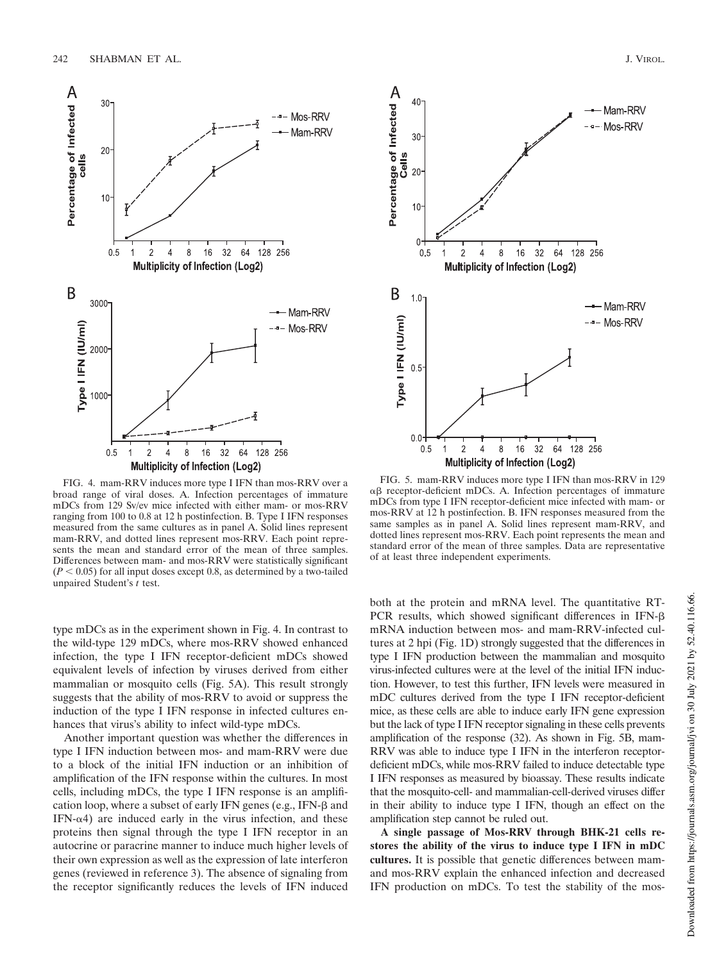

FIG. 4. mam-RRV induces more type I IFN than mos-RRV over a broad range of viral doses. A. Infection percentages of immature mDCs from 129 Sv/ev mice infected with either mam- or mos-RRV ranging from 100 to 0.8 at 12 h postinfection. B. Type I IFN responses measured from the same cultures as in panel A. Solid lines represent mam-RRV, and dotted lines represent mos-RRV. Each point represents the mean and standard error of the mean of three samples. Differences between mam- and mos-RRV were statistically significant  $(P < 0.05)$  for all input doses except 0.8, as determined by a two-tailed unpaired Student's *t* test.

type mDCs as in the experiment shown in Fig. 4. In contrast to the wild-type 129 mDCs, where mos-RRV showed enhanced infection, the type I IFN receptor-deficient mDCs showed equivalent levels of infection by viruses derived from either mammalian or mosquito cells (Fig. 5A). This result strongly suggests that the ability of mos-RRV to avoid or suppress the induction of the type I IFN response in infected cultures enhances that virus's ability to infect wild-type mDCs.

Another important question was whether the differences in type I IFN induction between mos- and mam-RRV were due to a block of the initial IFN induction or an inhibition of amplification of the IFN response within the cultures. In most cells, including mDCs, the type I IFN response is an amplification loop, where a subset of early IFN genes (e.g., IFN- $\beta$  and IFN- $\alpha$ 4) are induced early in the virus infection, and these proteins then signal through the type I IFN receptor in an autocrine or paracrine manner to induce much higher levels of their own expression as well as the expression of late interferon genes (reviewed in reference 3). The absence of signaling from the receptor significantly reduces the levels of IFN induced



FIG. 5. mam-RRV induces more type I IFN than mos-RRV in 129  $\alpha\beta$  receptor-deficient mDCs. A. Infection percentages of immature mDCs from type I IFN receptor-deficient mice infected with mam- or mos-RRV at 12 h postinfection. B. IFN responses measured from the same samples as in panel A. Solid lines represent mam-RRV, and dotted lines represent mos-RRV. Each point represents the mean and standard error of the mean of three samples. Data are representative of at least three independent experiments.

both at the protein and mRNA level. The quantitative RT-PCR results, which showed significant differences in IFN- $\beta$ mRNA induction between mos- and mam-RRV-infected cultures at 2 hpi (Fig. 1D) strongly suggested that the differences in type I IFN production between the mammalian and mosquito virus-infected cultures were at the level of the initial IFN induction. However, to test this further, IFN levels were measured in mDC cultures derived from the type I IFN receptor-deficient mice, as these cells are able to induce early IFN gene expression but the lack of type I IFN receptor signaling in these cells prevents amplification of the response (32). As shown in Fig. 5B, mam-RRV was able to induce type I IFN in the interferon receptordeficient mDCs, while mos-RRV failed to induce detectable type I IFN responses as measured by bioassay. These results indicate that the mosquito-cell- and mammalian-cell-derived viruses differ in their ability to induce type I IFN, though an effect on the amplification step cannot be ruled out.

**A single passage of Mos-RRV through BHK-21 cells restores the ability of the virus to induce type I IFN in mDC cultures.** It is possible that genetic differences between mamand mos-RRV explain the enhanced infection and decreased IFN production on mDCs. To test the stability of the mos-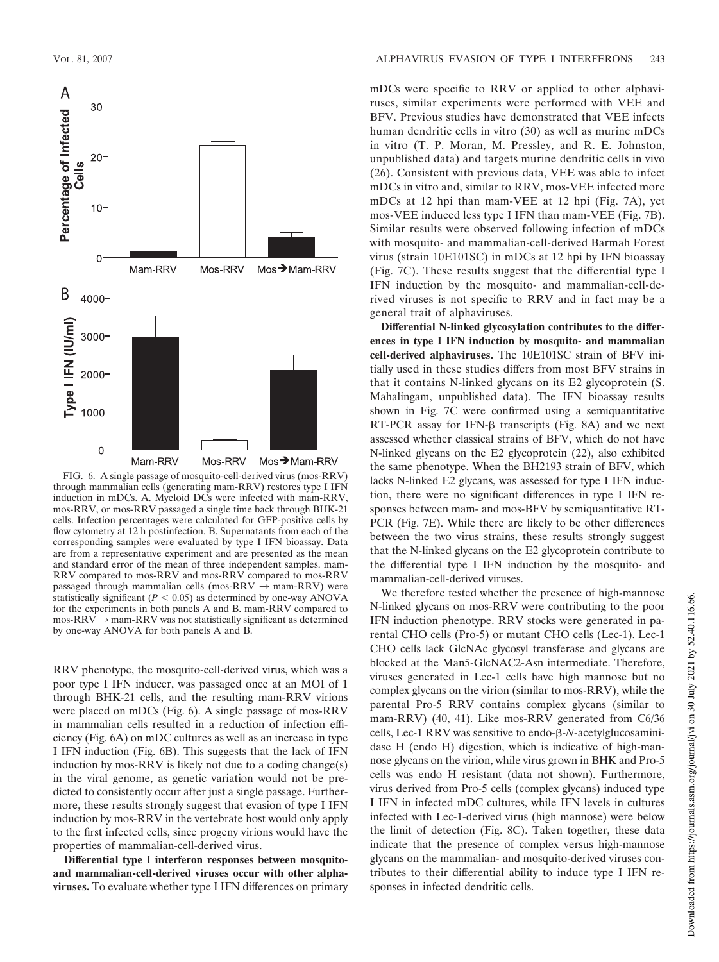

FIG. 6. A single passage of mosquito-cell-derived virus (mos-RRV) through mammalian cells (generating mam-RRV) restores type I IFN induction in mDCs. A. Myeloid DCs were infected with mam-RRV, mos-RRV, or mos-RRV passaged a single time back through BHK-21 cells. Infection percentages were calculated for GFP-positive cells by flow cytometry at 12 h postinfection. B. Supernatants from each of the corresponding samples were evaluated by type I IFN bioassay. Data are from a representative experiment and are presented as the mean and standard error of the mean of three independent samples. mam-RRV compared to mos-RRV and mos-RRV compared to mos-RRV passaged through mammalian cells (mos-RRV  $\rightarrow$  mam-RRV) were statistically significant  $(P < 0.05)$  as determined by one-way ANOVA for the experiments in both panels A and B. mam-RRV compared to  $m$ os-RRV  $\rightarrow$  mam-RRV was not statistically significant as determined by one-way ANOVA for both panels A and B.

RRV phenotype, the mosquito-cell-derived virus, which was a poor type I IFN inducer, was passaged once at an MOI of 1 through BHK-21 cells, and the resulting mam-RRV virions were placed on mDCs (Fig. 6). A single passage of mos-RRV in mammalian cells resulted in a reduction of infection efficiency (Fig. 6A) on mDC cultures as well as an increase in type I IFN induction (Fig. 6B). This suggests that the lack of IFN induction by mos-RRV is likely not due to a coding change(s) in the viral genome, as genetic variation would not be predicted to consistently occur after just a single passage. Furthermore, these results strongly suggest that evasion of type I IFN induction by mos-RRV in the vertebrate host would only apply to the first infected cells, since progeny virions would have the properties of mammalian-cell-derived virus.

**Differential type I interferon responses between mosquitoand mammalian-cell-derived viruses occur with other alphaviruses.** To evaluate whether type I IFN differences on primary

mDCs were specific to RRV or applied to other alphaviruses, similar experiments were performed with VEE and BFV. Previous studies have demonstrated that VEE infects human dendritic cells in vitro (30) as well as murine mDCs in vitro (T. P. Moran, M. Pressley, and R. E. Johnston, unpublished data) and targets murine dendritic cells in vivo (26). Consistent with previous data, VEE was able to infect mDCs in vitro and, similar to RRV, mos-VEE infected more mDCs at 12 hpi than mam-VEE at 12 hpi (Fig. 7A), yet mos-VEE induced less type I IFN than mam-VEE (Fig. 7B). Similar results were observed following infection of mDCs with mosquito- and mammalian-cell-derived Barmah Forest virus (strain 10E101SC) in mDCs at 12 hpi by IFN bioassay (Fig. 7C). These results suggest that the differential type I IFN induction by the mosquito- and mammalian-cell-derived viruses is not specific to RRV and in fact may be a general trait of alphaviruses.

**Differential N-linked glycosylation contributes to the differences in type I IFN induction by mosquito- and mammalian cell-derived alphaviruses.** The 10E101SC strain of BFV initially used in these studies differs from most BFV strains in that it contains N-linked glycans on its E2 glycoprotein (S. Mahalingam, unpublished data). The IFN bioassay results shown in Fig. 7C were confirmed using a semiquantitative RT-PCR assay for IFN- $\beta$  transcripts (Fig. 8A) and we next assessed whether classical strains of BFV, which do not have N-linked glycans on the E2 glycoprotein (22), also exhibited the same phenotype. When the BH2193 strain of BFV, which lacks N-linked E2 glycans, was assessed for type I IFN induction, there were no significant differences in type I IFN responses between mam- and mos-BFV by semiquantitative RT-PCR (Fig. 7E). While there are likely to be other differences between the two virus strains, these results strongly suggest that the N-linked glycans on the E2 glycoprotein contribute to the differential type I IFN induction by the mosquito- and mammalian-cell-derived viruses.

We therefore tested whether the presence of high-mannose N-linked glycans on mos-RRV were contributing to the poor IFN induction phenotype. RRV stocks were generated in parental CHO cells (Pro-5) or mutant CHO cells (Lec-1). Lec-1 CHO cells lack GlcNAc glycosyl transferase and glycans are blocked at the Man5-GlcNAC2-Asn intermediate. Therefore, viruses generated in Lec-1 cells have high mannose but no complex glycans on the virion (similar to mos-RRV), while the parental Pro-5 RRV contains complex glycans (similar to mam-RRV) (40, 41). Like mos-RRV generated from C6/36 cells, Lec-1 RRV was sensitive to endo-β-*N*-acetylglucosaminidase H (endo H) digestion, which is indicative of high-mannose glycans on the virion, while virus grown in BHK and Pro-5 cells was endo H resistant (data not shown). Furthermore, virus derived from Pro-5 cells (complex glycans) induced type I IFN in infected mDC cultures, while IFN levels in cultures infected with Lec-1-derived virus (high mannose) were below the limit of detection (Fig. 8C). Taken together, these data indicate that the presence of complex versus high-mannose glycans on the mammalian- and mosquito-derived viruses contributes to their differential ability to induce type I IFN responses in infected dendritic cells.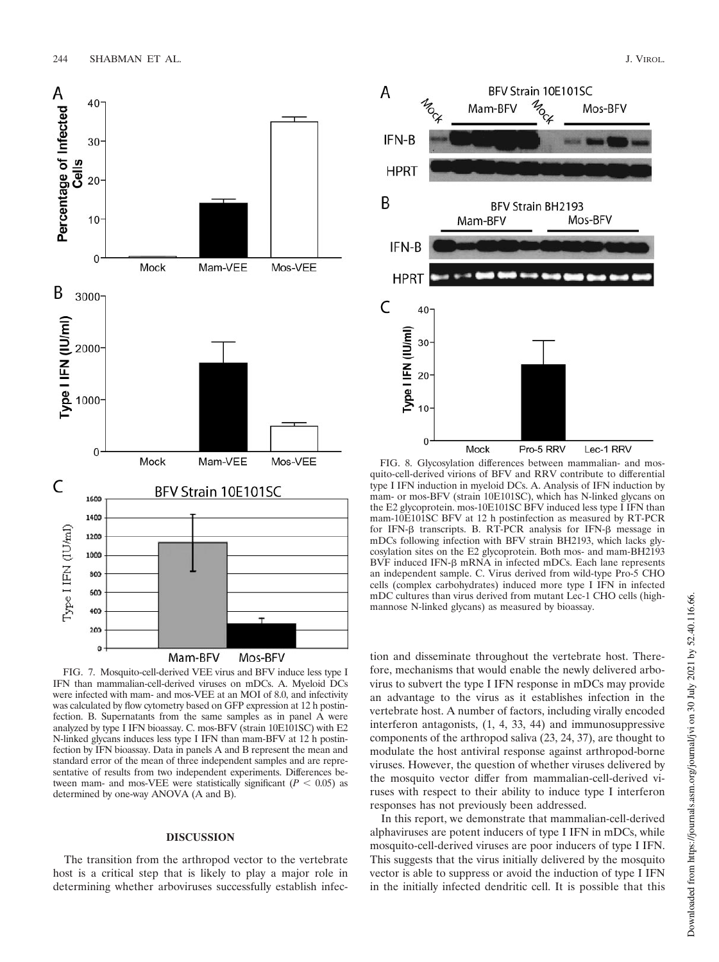

FIG. 7. Mosquito-cell-derived VEE virus and BFV induce less type I IFN than mammalian-cell-derived viruses on mDCs. A. Myeloid DCs were infected with mam- and mos-VEE at an MOI of 8.0, and infectivity was calculated by flow cytometry based on GFP expression at 12 h postinfection. B. Supernatants from the same samples as in panel A were analyzed by type I IFN bioassay. C. mos-BFV (strain 10E101SC) with E2 N-linked glycans induces less type I IFN than mam-BFV at 12 h postinfection by IFN bioassay. Data in panels A and B represent the mean and standard error of the mean of three independent samples and are representative of results from two independent experiments. Differences between mam- and mos-VEE were statistically significant ( $P < 0.05$ ) as determined by one-way ANOVA (A and B).

# **DISCUSSION**

The transition from the arthropod vector to the vertebrate host is a critical step that is likely to play a major role in determining whether arboviruses successfully establish infec-



FIG. 8. Glycosylation differences between mammalian- and mosquito-cell-derived virions of BFV and RRV contribute to differential type I IFN induction in myeloid DCs. A. Analysis of IFN induction by mam- or mos-BFV (strain 10E101SC), which has N-linked glycans on the E2 glycoprotein. mos-10E101SC BFV induced less type I IFN than mam-10E101SC BFV at 12 h postinfection as measured by RT-PCR for IFN- $\beta$  transcripts. B. RT-PCR analysis for IFN- $\beta$  message in mDCs following infection with BFV strain BH2193, which lacks glycosylation sites on the E2 glycoprotein. Both mos- and mam-BH2193 BVF induced IFN- $\beta$  mRNA in infected mDCs. Each lane represents an independent sample. C. Virus derived from wild-type Pro-5 CHO cells (complex carbohydrates) induced more type I IFN in infected mDC cultures than virus derived from mutant Lec-1 CHO cells (highmannose N-linked glycans) as measured by bioassay.

tion and disseminate throughout the vertebrate host. Therefore, mechanisms that would enable the newly delivered arbovirus to subvert the type I IFN response in mDCs may provide an advantage to the virus as it establishes infection in the vertebrate host. A number of factors, including virally encoded interferon antagonists, (1, 4, 33, 44) and immunosuppressive components of the arthropod saliva (23, 24, 37), are thought to modulate the host antiviral response against arthropod-borne viruses. However, the question of whether viruses delivered by the mosquito vector differ from mammalian-cell-derived viruses with respect to their ability to induce type I interferon responses has not previously been addressed.

In this report, we demonstrate that mammalian-cell-derived alphaviruses are potent inducers of type I IFN in mDCs, while mosquito-cell-derived viruses are poor inducers of type I IFN. This suggests that the virus initially delivered by the mosquito vector is able to suppress or avoid the induction of type I IFN in the initially infected dendritic cell. It is possible that this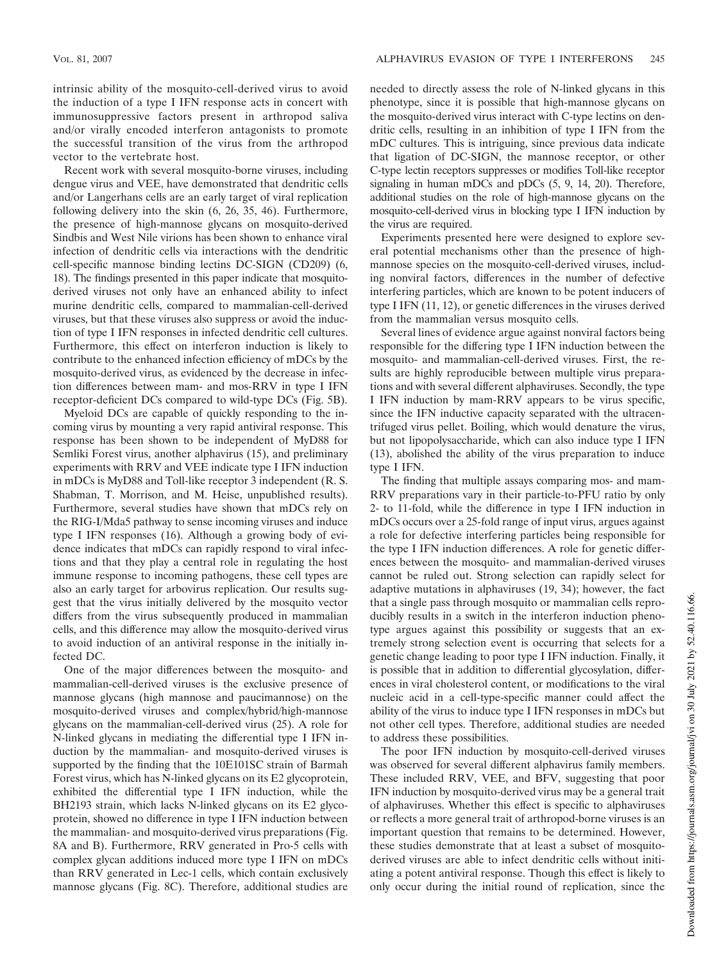intrinsic ability of the mosquito-cell-derived virus to avoid the induction of a type I IFN response acts in concert with immunosuppressive factors present in arthropod saliva and/or virally encoded interferon antagonists to promote the successful transition of the virus from the arthropod vector to the vertebrate host.

Recent work with several mosquito-borne viruses, including dengue virus and VEE, have demonstrated that dendritic cells and/or Langerhans cells are an early target of viral replication following delivery into the skin (6, 26, 35, 46). Furthermore, the presence of high-mannose glycans on mosquito-derived Sindbis and West Nile virions has been shown to enhance viral infection of dendritic cells via interactions with the dendritic cell-specific mannose binding lectins DC-SIGN (CD209) (6, 18). The findings presented in this paper indicate that mosquitoderived viruses not only have an enhanced ability to infect murine dendritic cells, compared to mammalian-cell-derived viruses, but that these viruses also suppress or avoid the induction of type I IFN responses in infected dendritic cell cultures. Furthermore, this effect on interferon induction is likely to contribute to the enhanced infection efficiency of mDCs by the mosquito-derived virus, as evidenced by the decrease in infection differences between mam- and mos-RRV in type I IFN receptor-deficient DCs compared to wild-type DCs (Fig. 5B).

Myeloid DCs are capable of quickly responding to the incoming virus by mounting a very rapid antiviral response. This response has been shown to be independent of MyD88 for Semliki Forest virus, another alphavirus (15), and preliminary experiments with RRV and VEE indicate type I IFN induction in mDCs is MyD88 and Toll-like receptor 3 independent (R. S. Shabman, T. Morrison, and M. Heise, unpublished results). Furthermore, several studies have shown that mDCs rely on the RIG-I/Mda5 pathway to sense incoming viruses and induce type I IFN responses (16). Although a growing body of evidence indicates that mDCs can rapidly respond to viral infections and that they play a central role in regulating the host immune response to incoming pathogens, these cell types are also an early target for arbovirus replication. Our results suggest that the virus initially delivered by the mosquito vector differs from the virus subsequently produced in mammalian cells, and this difference may allow the mosquito-derived virus to avoid induction of an antiviral response in the initially infected DC.

One of the major differences between the mosquito- and mammalian-cell-derived viruses is the exclusive presence of mannose glycans (high mannose and paucimannose) on the mosquito-derived viruses and complex/hybrid/high-mannose glycans on the mammalian-cell-derived virus (25). A role for N-linked glycans in mediating the differential type I IFN induction by the mammalian- and mosquito-derived viruses is supported by the finding that the 10E101SC strain of Barmah Forest virus, which has N-linked glycans on its E2 glycoprotein, exhibited the differential type I IFN induction, while the BH2193 strain, which lacks N-linked glycans on its E2 glycoprotein, showed no difference in type I IFN induction between the mammalian- and mosquito-derived virus preparations (Fig. 8A and B). Furthermore, RRV generated in Pro-5 cells with complex glycan additions induced more type I IFN on mDCs than RRV generated in Lec-1 cells, which contain exclusively mannose glycans (Fig. 8C). Therefore, additional studies are

needed to directly assess the role of N-linked glycans in this phenotype, since it is possible that high-mannose glycans on the mosquito-derived virus interact with C-type lectins on dendritic cells, resulting in an inhibition of type I IFN from the mDC cultures. This is intriguing, since previous data indicate that ligation of DC-SIGN, the mannose receptor, or other C-type lectin receptors suppresses or modifies Toll-like receptor signaling in human mDCs and pDCs (5, 9, 14, 20). Therefore, additional studies on the role of high-mannose glycans on the mosquito-cell-derived virus in blocking type I IFN induction by the virus are required.

Experiments presented here were designed to explore several potential mechanisms other than the presence of highmannose species on the mosquito-cell-derived viruses, including nonviral factors, differences in the number of defective interfering particles, which are known to be potent inducers of type I IFN (11, 12), or genetic differences in the viruses derived from the mammalian versus mosquito cells.

Several lines of evidence argue against nonviral factors being responsible for the differing type I IFN induction between the mosquito- and mammalian-cell-derived viruses. First, the results are highly reproducible between multiple virus preparations and with several different alphaviruses. Secondly, the type I IFN induction by mam-RRV appears to be virus specific, since the IFN inductive capacity separated with the ultracentrifuged virus pellet. Boiling, which would denature the virus, but not lipopolysaccharide, which can also induce type I IFN (13), abolished the ability of the virus preparation to induce type I IFN.

The finding that multiple assays comparing mos- and mam-RRV preparations vary in their particle-to-PFU ratio by only 2- to 11-fold, while the difference in type I IFN induction in mDCs occurs over a 25-fold range of input virus, argues against a role for defective interfering particles being responsible for the type I IFN induction differences. A role for genetic differences between the mosquito- and mammalian-derived viruses cannot be ruled out. Strong selection can rapidly select for adaptive mutations in alphaviruses (19, 34); however, the fact that a single pass through mosquito or mammalian cells reproducibly results in a switch in the interferon induction phenotype argues against this possibility or suggests that an extremely strong selection event is occurring that selects for a genetic change leading to poor type I IFN induction. Finally, it is possible that in addition to differential glycosylation, differences in viral cholesterol content, or modifications to the viral nucleic acid in a cell-type-specific manner could affect the ability of the virus to induce type I IFN responses in mDCs but not other cell types. Therefore, additional studies are needed to address these possibilities.

The poor IFN induction by mosquito-cell-derived viruses was observed for several different alphavirus family members. These included RRV, VEE, and BFV, suggesting that poor IFN induction by mosquito-derived virus may be a general trait of alphaviruses. Whether this effect is specific to alphaviruses or reflects a more general trait of arthropod-borne viruses is an important question that remains to be determined. However, these studies demonstrate that at least a subset of mosquitoderived viruses are able to infect dendritic cells without initiating a potent antiviral response. Though this effect is likely to only occur during the initial round of replication, since the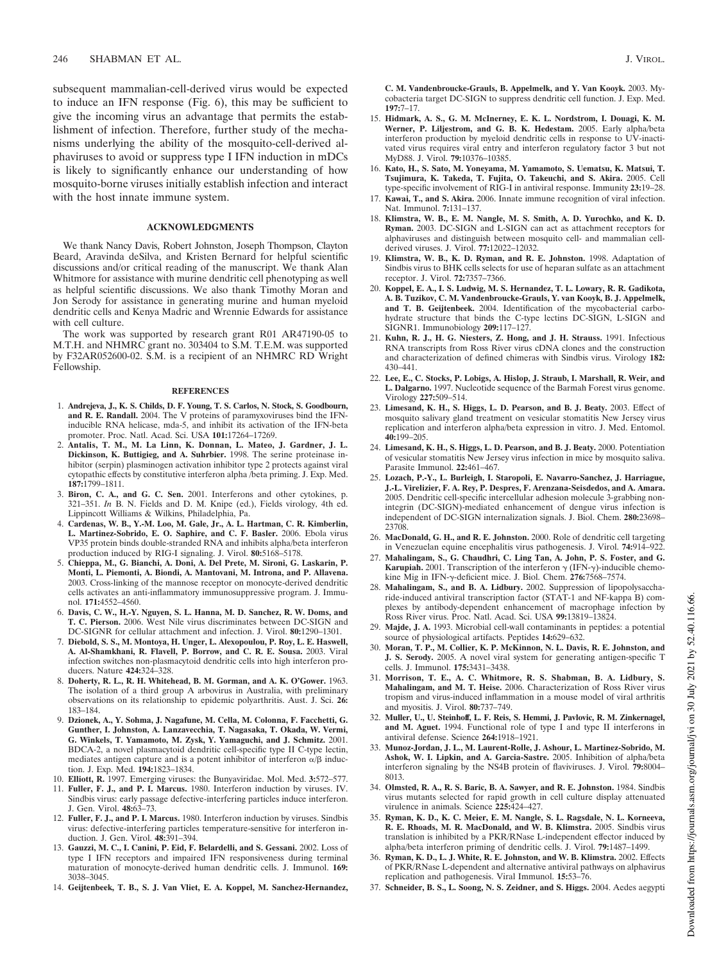subsequent mammalian-cell-derived virus would be expected to induce an IFN response (Fig. 6), this may be sufficient to give the incoming virus an advantage that permits the establishment of infection. Therefore, further study of the mechanisms underlying the ability of the mosquito-cell-derived alphaviruses to avoid or suppress type I IFN induction in mDCs is likely to significantly enhance our understanding of how mosquito-borne viruses initially establish infection and interact with the host innate immune system.

## **ACKNOWLEDGMENTS**

We thank Nancy Davis, Robert Johnston, Joseph Thompson, Clayton Beard, Aravinda deSilva, and Kristen Bernard for helpful scientific discussions and/or critical reading of the manuscript. We thank Alan Whitmore for assistance with murine dendritic cell phenotyping as well as helpful scientific discussions. We also thank Timothy Moran and Jon Serody for assistance in generating murine and human myeloid dendritic cells and Kenya Madric and Wrennie Edwards for assistance with cell culture.

The work was supported by research grant R01 AR47190-05 to M.T.H. and NHMRC grant no. 303404 to S.M. T.E.M. was supported by F32AR052600-02. S.M. is a recipient of an NHMRC RD Wright Fellowship.

#### **REFERENCES**

- 1. **Andrejeva, J., K. S. Childs, D. F. Young, T. S. Carlos, N. Stock, S. Goodbourn, and R. E. Randall.** 2004. The V proteins of paramyxoviruses bind the IFNinducible RNA helicase, mda-5, and inhibit its activation of the IFN-beta promoter. Proc. Natl. Acad. Sci. USA **101:**17264–17269.
- 2. **Antalis, T. M., M. La Linn, K. Donnan, L. Mateo, J. Gardner, J. L. Dickinson, K. Buttigieg, and A. Suhrbier.** 1998. The serine proteinase inhibitor (serpin) plasminogen activation inhibitor type 2 protects against viral cytopathic effects by constitutive interferon alpha /beta priming. J. Exp. Med. **187:**1799–1811.
- 3. **Biron, C. A., and G. C. Sen.** 2001. Interferons and other cytokines, p. 321–351. *In* B. N. Fields and D. M. Knipe (ed.), Fields virology, 4th ed. Lippincott Williams & Wilkins, Philadelphia, Pa.
- 4. **Cardenas, W. B., Y.-M. Loo, M. Gale, Jr., A. L. Hartman, C. R. Kimberlin, L. Martinez-Sobrido, E. O. Saphire, and C. F. Basler.** 2006. Ebola virus VP35 protein binds double-stranded RNA and inhibits alpha/beta interferon production induced by RIG-I signaling. J. Virol. **80:**5168–5178.
- 5. **Chieppa, M., G. Bianchi, A. Doni, A. Del Prete, M. Sironi, G. Laskarin, P. Monti, L. Piemonti, A. Biondi, A. Mantovani, M. Introna, and P. Allavena.** 2003. Cross-linking of the mannose receptor on monocyte-derived dendritic cells activates an anti-inflammatory immunosuppressive program. J. Immunol. **171:**4552–4560.
- 6. **Davis, C. W., H.-Y. Nguyen, S. L. Hanna, M. D. Sanchez, R. W. Doms, and T. C. Pierson.** 2006. West Nile virus discriminates between DC-SIGN and DC-SIGNR for cellular attachment and infection. J. Virol. **80:**1290–1301.
- 7. **Diebold, S. S., M. Montoya, H. Unger, L. Alexopoulou, P. Roy, L. E. Haswell, A. Al-Shamkhani, R. Flavell, P. Borrow, and C. R. E. Sousa.** 2003. Viral infection switches non-plasmacytoid dendritic cells into high interferon producers. Nature **424:**324–328.
- 8. **Doherty, R. L., R. H. Whitehead, B. M. Gorman, and A. K. O'Gower.** 1963. The isolation of a third group A arbovirus in Australia, with preliminary observations on its relationship to epidemic polyarthritis. Aust. J. Sci. **26:** 183–184.
- 9. **Dzionek, A., Y. Sohma, J. Nagafune, M. Cella, M. Colonna, F. Facchetti, G. Gunther, I. Johnston, A. Lanzavecchia, T. Nagasaka, T. Okada, W. Vermi, G. Winkels, T. Yamamoto, M. Zysk, Y. Yamaguchi, and J. Schmitz.** 2001. BDCA-2, a novel plasmacytoid dendritic cell-specific type II C-type lectin, mediates antigen capture and is a potent inhibitor of interferon  $\alpha/\beta$  induction. J. Exp. Med. **194:**1823–1834.
- 10. **Elliott, R.** 1997. Emerging viruses: the Bunyaviridae. Mol. Med. **3:**572–577. 11. **Fuller, F. J., and P. I. Marcus.** 1980. Interferon induction by viruses. IV. Sindbis virus: early passage defective-interfering particles induce interferon. J. Gen. Virol. **48:**63–73.
- 12. **Fuller, F. J., and P. I. Marcus.** 1980. Interferon induction by viruses. Sindbis virus: defective-interfering particles temperature-sensitive for interferon induction. J. Gen. Virol. **48:**391–394.
- 13. **Gauzzi, M. C., I. Canini, P. Eid, F. Belardelli, and S. Gessani.** 2002. Loss of type I IFN receptors and impaired IFN responsiveness during terminal maturation of monocyte-derived human dendritic cells. J. Immunol. **169:** 3038–3045.
- 14. **Geijtenbeek, T. B., S. J. Van Vliet, E. A. Koppel, M. Sanchez-Hernandez,**

**C. M. Vandenbroucke-Grauls, B. Appelmelk, and Y. Van Kooyk.** 2003. Mycobacteria target DC-SIGN to suppress dendritic cell function. J. Exp. Med. **197:**7–17.

- 15. **Hidmark, A. S., G. M. McInerney, E. K. L. Nordstrom, I. Douagi, K. M. Werner, P. Liljestrom, and G. B. K. Hedestam.** 2005. Early alpha/beta interferon production by myeloid dendritic cells in response to  $U\hat{V}$ -inactivated virus requires viral entry and interferon regulatory factor 3 but not MyD88. J. Virol. **79:**10376–10385.
- 16. **Kato, H., S. Sato, M. Yoneyama, M. Yamamoto, S. Uematsu, K. Matsui, T. Tsujimura, K. Takeda, T. Fujita, O. Takeuchi, and S. Akira.** 2005. Cell type-specific involvement of RIG-I in antiviral response. Immunity **23:**19–28.
- 17. **Kawai, T., and S. Akira.** 2006. Innate immune recognition of viral infection. Nat. Immunol. **7:**131–137.
- 18. **Klimstra, W. B., E. M. Nangle, M. S. Smith, A. D. Yurochko, and K. D. Ryman.** 2003. DC-SIGN and L-SIGN can act as attachment receptors for alphaviruses and distinguish between mosquito cell- and mammalian cellderived viruses. J. Virol. **77:**12022–12032.
- 19. **Klimstra, W. B., K. D. Ryman, and R. E. Johnston.** 1998. Adaptation of Sindbis virus to BHK cells selects for use of heparan sulfate as an attachment receptor. J. Virol. **72:**7357–7366.
- 20. **Koppel, E. A., I. S. Ludwig, M. S. Hernandez, T. L. Lowary, R. R. Gadikota, A. B. Tuzikov, C. M. Vandenbroucke-Grauls, Y. van Kooyk, B. J. Appelmelk, and T. B. Geijtenbeek.** 2004. Identification of the mycobacterial carbohydrate structure that binds the C-type lectins DC-SIGN, L-SIGN and SIGNR1. Immunobiology **209:**117–127.
- 21. **Kuhn, R. J., H. G. Niesters, Z. Hong, and J. H. Strauss.** 1991. Infectious RNA transcripts from Ross River virus cDNA clones and the construction and characterization of defined chimeras with Sindbis virus. Virology **182:** 430–441.
- 22. **Lee, E., C. Stocks, P. Lobigs, A. Hislop, J. Straub, I. Marshall, R. Weir, and L. Dalgarno.** 1997. Nucleotide sequence of the Barmah Forest virus genome. Virology **227:**509–514.
- 23. **Limesand, K. H., S. Higgs, L. D. Pearson, and B. J. Beaty.** 2003. Effect of mosquito salivary gland treatment on vesicular stomatitis New Jersey virus replication and interferon alpha/beta expression in vitro. J. Med. Entomol. **40:**199–205.
- 24. **Limesand, K. H., S. Higgs, L. D. Pearson, and B. J. Beaty.** 2000. Potentiation of vesicular stomatitis New Jersey virus infection in mice by mosquito saliva. Parasite Immunol. **22:**461–467.
- 25. **Lozach, P.-Y., L. Burleigh, I. Staropoli, E. Navarro-Sanchez, J. Harriague, J.-L. Virelizier, F. A. Rey, P. Despres, F. Arenzana-Seisdedos, and A. Amara.** 2005. Dendritic cell-specific intercellular adhesion molecule 3-grabbing nonintegrin (DC-SIGN)-mediated enhancement of dengue virus infection is independent of DC-SIGN internalization signals. J. Biol. Chem. **280:**23698– 23708.
- 26. **MacDonald, G. H., and R. E. Johnston.** 2000. Role of dendritic cell targeting in Venezuelan equine encephalitis virus pathogenesis. J. Virol. **74:**914–922.
- 27. **Mahalingam, S., G. Chaudhri, C. Ling Tan, A. John, P. S. Foster, and G. Karupiah.** 2001. Transcription of the interferon  $\gamma$  (IFN- $\gamma$ )-inducible chemokine Mig in IFN-γ-deficient mice. J. Biol. Chem. 276:7568-7574.
- 28. **Mahalingam, S., and B. A. Lidbury.** 2002. Suppression of lipopolysaccharide-induced antiviral transcription factor (STAT-1 and NF-kappa B) complexes by antibody-dependent enhancement of macrophage infection by Ross River virus. Proc. Natl. Acad. Sci. USA **99:**13819–13824.
- 29. **Majde, J. A.** 1993. Microbial cell-wall contaminants in peptides: a potential source of physiological artifacts. Peptides **14:**629–632.
- 30. **Moran, T. P., M. Collier, K. P. McKinnon, N. L. Davis, R. E. Johnston, and J. S. Serody.** 2005. A novel viral system for generating antigen-specific T cells. J. Immunol. **175:**3431–3438.
- 31. **Morrison, T. E., A. C. Whitmore, R. S. Shabman, B. A. Lidbury, S. Mahalingam, and M. T. Heise.** 2006. Characterization of Ross River virus tropism and virus-induced inflammation in a mouse model of viral arthritis and myositis. J. Virol. **80:**737–749.
- 32. **Muller, U., U. Steinhoff, L. F. Reis, S. Hemmi, J. Pavlovic, R. M. Zinkernagel, and M. Aguet.** 1994. Functional role of type I and type II interferons in antiviral defense. Science **264:**1918–1921.
- 33. **Munoz-Jordan, J. L., M. Laurent-Rolle, J. Ashour, L. Martinez-Sobrido, M. Ashok, W. I. Lipkin, and A. Garcia-Sastre.** 2005. Inhibition of alpha/beta interferon signaling by the NS4B protein of flaviviruses. J. Virol. **79:**8004– 8013.
- 34. **Olmsted, R. A., R. S. Baric, B. A. Sawyer, and R. E. Johnston.** 1984. Sindbis virus mutants selected for rapid growth in cell culture display attenuated virulence in animals. Science **225:**424–427.
- 35. **Ryman, K. D., K. C. Meier, E. M. Nangle, S. L. Ragsdale, N. L. Korneeva, R. E. Rhoads, M. R. MacDonald, and W. B. Klimstra.** 2005. Sindbis virus translation is inhibited by a PKR/RNase L-independent effector induced by alpha/beta interferon priming of dendritic cells. J. Virol. **79:**1487–1499.
- 36. **Ryman, K. D., L. J. White, R. E. Johnston, and W. B. Klimstra.** 2002. Effects of PKR/RNase L-dependent and alternative antiviral pathways on alphavirus replication and pathogenesis. Viral Immunol. **15:**53–76.
- 37. **Schneider, B. S., L. Soong, N. S. Zeidner, and S. Higgs.** 2004. Aedes aegypti